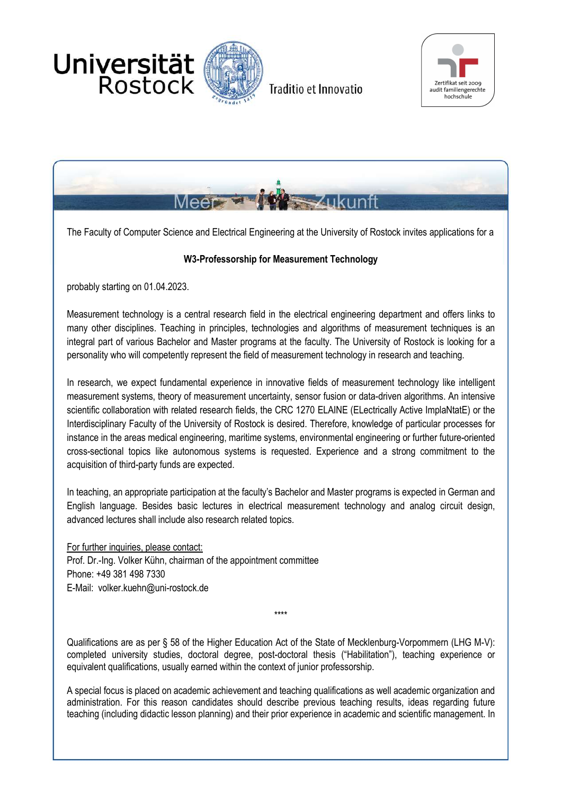

Traditio et Innovatio





The Faculty of Computer Science and Electrical Engineering at the University of Rostock invites applications for a

## W3-Professorship for Measurement Technology

probably starting on 01.04.2023.

Universität

Rostock

Measurement technology is a central research field in the electrical engineering department and offers links to many other disciplines. Teaching in principles, technologies and algorithms of measurement techniques is an integral part of various Bachelor and Master programs at the faculty. The University of Rostock is looking for a personality who will competently represent the field of measurement technology in research and teaching.

In research, we expect fundamental experience in innovative fields of measurement technology like intelligent measurement systems, theory of measurement uncertainty, sensor fusion or data-driven algorithms. An intensive scientific collaboration with related research fields, the CRC 1270 ELAINE (ELectrically Active ImplaNtatE) or the Interdisciplinary Faculty of the University of Rostock is desired. Therefore, knowledge of particular processes for instance in the areas medical engineering, maritime systems, environmental engineering or further future-oriented cross-sectional topics like autonomous systems is requested. Experience and a strong commitment to the acquisition of third-party funds are expected.

In teaching, an appropriate participation at the faculty's Bachelor and Master programs is expected in German and English language. Besides basic lectures in electrical measurement technology and analog circuit design, advanced lectures shall include also research related topics.

For further inquiries, please contact: Prof. Dr.-Ing. Volker Kühn, chairman of the appointment committee Phone: +49 381 498 7330 E-Mail: volker.kuehn@uni-rostock.de

Qualifications are as per § 58 of the Higher Education Act of the State of Mecklenburg-Vorpommern (LHG M-V): completed university studies, doctoral degree, post-doctoral thesis ("Habilitation"), teaching experience or equivalent qualifications, usually earned within the context of junior professorship.

\*\*\*\*

A special focus is placed on academic achievement and teaching qualifications as well academic organization and administration. For this reason candidates should describe previous teaching results, ideas regarding future teaching (including didactic lesson planning) and their prior experience in academic and scientific management. In